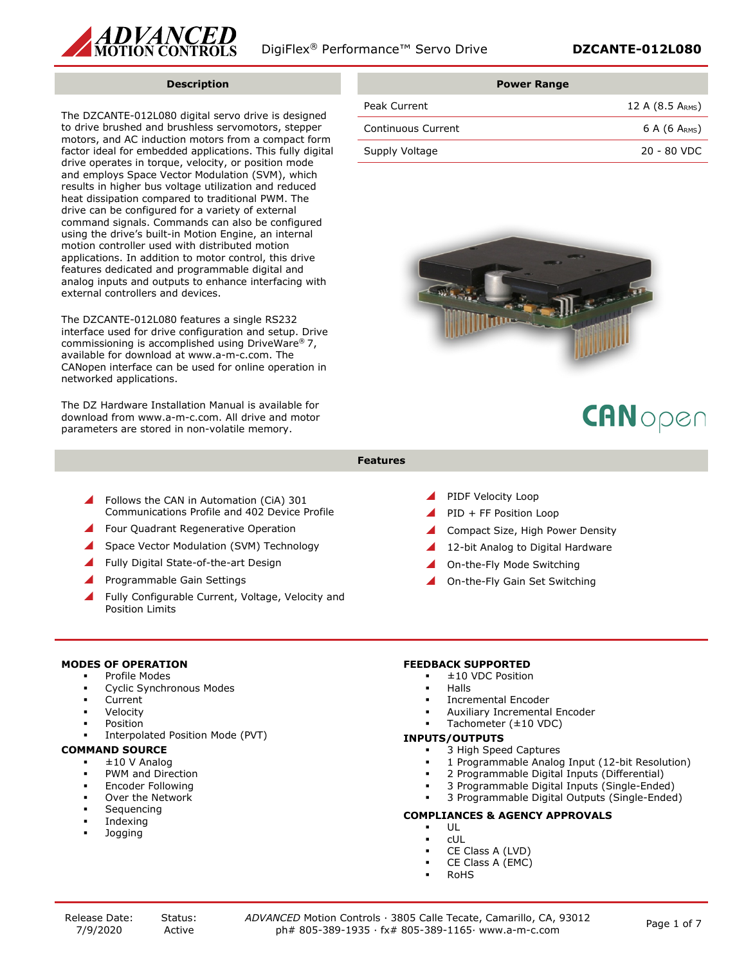

#### **Description**

The DZCANTE-012L080 digital servo drive is designed to drive brushed and brushless servomotors, stepper motors, and AC induction motors from a compact form factor ideal for embedded applications. This fully digital drive operates in torque, velocity, or position mode and employs Space Vector Modulation (SVM), which results in higher bus voltage utilization and reduced heat dissipation compared to traditional PWM. The drive can be configured for a variety of external command signals. Commands can also be configured using the drive's built-in Motion Engine, an internal motion controller used with distributed motion applications. In addition to motor control, this drive features dedicated and programmable digital and analog inputs and outputs to enhance interfacing with external controllers and devices.

The DZCANTE-012L080 features a single RS232 interface used for drive configuration and setup. Drive commissioning is accomplished using DriveWare® 7, available for download at www.a-m-c.com. The CANopen interface can be used for online operation in networked applications.

The DZ Hardware Installation Manual is available for download from www.a-m-c.com. All drive and motor parameters are stored in non-volatile memory.

| <b>Power Range</b> |                    |
|--------------------|--------------------|
| Peak Current       | 12 A (8.5 ARMS)    |
| Continuous Current | 6 A (6 $A_{RMS}$ ) |
| Supply Voltage     | $20 - 80$ VDC      |



# CANopen

#### **Features**

- Follows the CAN in Automation (CiA) 301 Communications Profile and 402 Device Profile
- Four Quadrant Regenerative Operation
- Space Vector Modulation (SVM) Technology
- Fully Digital State-of-the-art Design
- Programmable Gain Settings
- Fully Configurable Current, Voltage, Velocity and Position Limits
- PIDF Velocity Loop
- PID + FF Position Loop
- Compact Size, High Power Density
- 12-bit Analog to Digital Hardware
- On-the-Fly Mode Switching
- On-the-Fly Gain Set Switching

## **MODES OF OPERATION**

- Profile Modes
- Cyclic Synchronous Modes
- Current
- Velocity
- Position
- Interpolated Position Mode (PVT)

## **COMMAND SOURCE**

- ±10 V Analog
- PWM and Direction
- Encoder Following
- Over the Network
- Sequencing
- Indexing
- Jogging

## **FEEDBACK SUPPORTED**

- ±10 VDC Position
- Halls
- Incremental Encoder
- Auxiliary Incremental Encoder
- Tachometer (±10 VDC)

#### **INPUTS/OUTPUTS**

- 3 High Speed Captures
- 1 Programmable Analog Input (12-bit Resolution)
- 2 Programmable Digital Inputs (Differential)
- 3 Programmable Digital Inputs (Single-Ended)
- 3 Programmable Digital Outputs (Single-Ended)

## **COMPLIANCES & AGENCY APPROVALS**

- UL
- cUL
- CE Class A (LVD)
- CE Class A (EMC)
- RoHS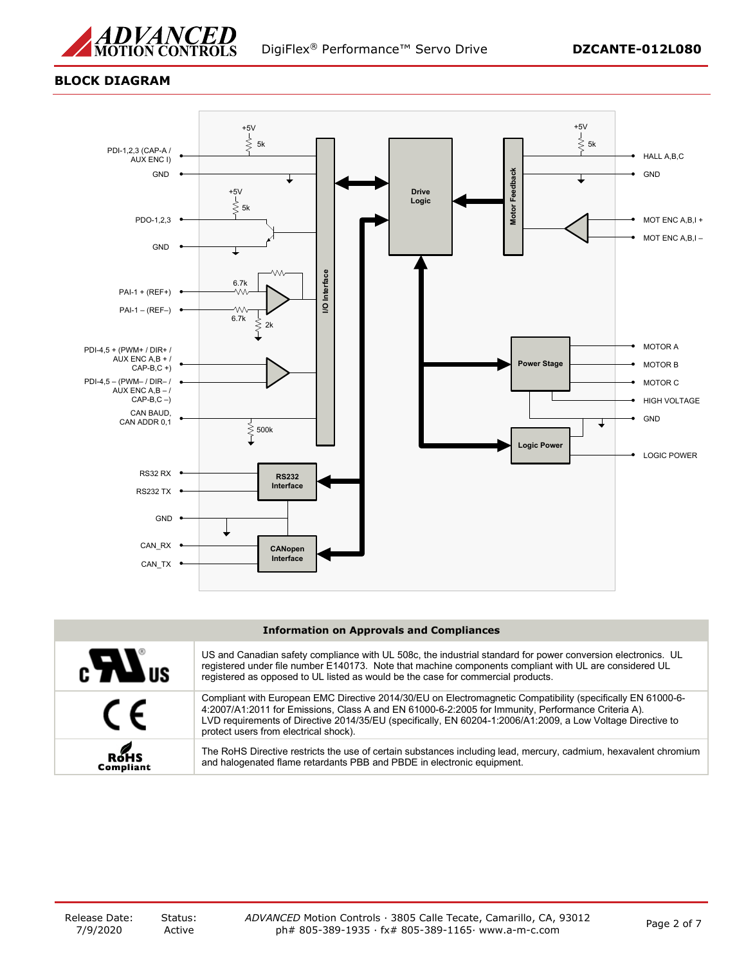

## **BLOCK DIAGRAM**



#### **Information on Approvals and Compliances**

| $\epsilon$ <b>N</b> us | US and Canadian safety compliance with UL 508c, the industrial standard for power conversion electronics. UL<br>registered under file number E140173. Note that machine components compliant with UL are considered UL<br>registered as opposed to UL listed as would be the case for commercial products.                                                                |
|------------------------|---------------------------------------------------------------------------------------------------------------------------------------------------------------------------------------------------------------------------------------------------------------------------------------------------------------------------------------------------------------------------|
| $\epsilon$             | Compliant with European EMC Directive 2014/30/EU on Electromagnetic Compatibility (specifically EN 61000-6-<br>4:2007/A1:2011 for Emissions, Class A and EN 61000-6-2:2005 for Immunity, Performance Criteria A).<br>LVD requirements of Directive 2014/35/EU (specifically, EN 60204-1:2006/A1:2009, a Low Voltage Directive to<br>protect users from electrical shock). |
| ROHS<br>Compliant      | The RoHS Directive restricts the use of certain substances including lead, mercury, cadmium, hexavalent chromium<br>and halogenated flame retardants PBB and PBDE in electronic equipment.                                                                                                                                                                                |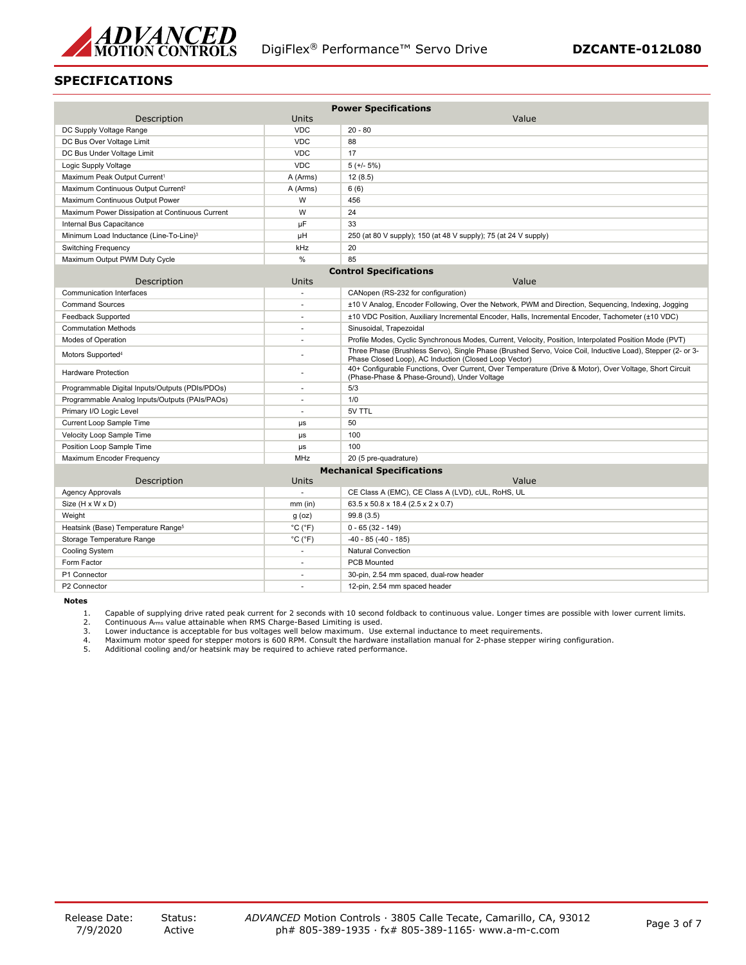

## **SPECIFICATIONS**

| Description                                         | Units                        | <b>Power Specifications</b><br>Value                                                                                                                                |  |
|-----------------------------------------------------|------------------------------|---------------------------------------------------------------------------------------------------------------------------------------------------------------------|--|
| DC Supply Voltage Range                             | <b>VDC</b>                   | $20 - 80$                                                                                                                                                           |  |
| DC Bus Over Voltage Limit                           | <b>VDC</b>                   | 88                                                                                                                                                                  |  |
| DC Bus Under Voltage Limit                          | <b>VDC</b>                   | 17                                                                                                                                                                  |  |
| Logic Supply Voltage                                | <b>VDC</b>                   | $5 (+/- 5%)$                                                                                                                                                        |  |
| Maximum Peak Output Current <sup>1</sup>            | A (Arms)                     | 12(8.5)                                                                                                                                                             |  |
| Maximum Continuous Output Current <sup>2</sup>      | A (Arms)                     | 6(6)                                                                                                                                                                |  |
| Maximum Continuous Output Power                     | W                            | 456                                                                                                                                                                 |  |
| Maximum Power Dissipation at Continuous Current     | W                            | 24                                                                                                                                                                  |  |
| Internal Bus Capacitance                            | μF                           | 33                                                                                                                                                                  |  |
| Minimum Load Inductance (Line-To-Line) <sup>3</sup> | μH                           | 250 (at 80 V supply); 150 (at 48 V supply); 75 (at 24 V supply)                                                                                                     |  |
| <b>Switching Frequency</b>                          | kHz                          | 20                                                                                                                                                                  |  |
| Maximum Output PWM Duty Cycle                       | %                            | 85                                                                                                                                                                  |  |
|                                                     |                              | <b>Control Specifications</b>                                                                                                                                       |  |
| Description                                         | Units                        | Value                                                                                                                                                               |  |
| Communication Interfaces                            |                              | CANopen (RS-232 for configuration)                                                                                                                                  |  |
| <b>Command Sources</b>                              | $\sim$                       | ±10 V Analog, Encoder Following, Over the Network, PWM and Direction, Sequencing, Indexing, Jogging                                                                 |  |
| Feedback Supported                                  | ٠                            | ±10 VDC Position, Auxiliary Incremental Encoder, Halls, Incremental Encoder, Tachometer (±10 VDC)                                                                   |  |
| <b>Commutation Methods</b>                          | $\sim$                       | Sinusoidal, Trapezoidal                                                                                                                                             |  |
| Modes of Operation                                  |                              | Profile Modes, Cyclic Synchronous Modes, Current, Velocity, Position, Interpolated Position Mode (PVT)                                                              |  |
| Motors Supported <sup>4</sup>                       |                              | Three Phase (Brushless Servo), Single Phase (Brushed Servo, Voice Coil, Inductive Load), Stepper (2- or 3-<br>Phase Closed Loop), AC Induction (Closed Loop Vector) |  |
| <b>Hardware Protection</b>                          |                              | 40+ Configurable Functions, Over Current, Over Temperature (Drive & Motor), Over Voltage, Short Circuit<br>(Phase-Phase & Phase-Ground), Under Voltage              |  |
| Programmable Digital Inputs/Outputs (PDIs/PDOs)     | $\overline{a}$               | 5/3                                                                                                                                                                 |  |
| Programmable Analog Inputs/Outputs (PAIs/PAOs)      |                              | 1/0                                                                                                                                                                 |  |
| Primary I/O Logic Level                             | $\sim$                       | 5V TTL                                                                                                                                                              |  |
| Current Loop Sample Time                            | $\mu s$                      | 50                                                                                                                                                                  |  |
| Velocity Loop Sample Time                           | $\mu s$                      | 100                                                                                                                                                                 |  |
| Position Loop Sample Time                           | μs                           | 100                                                                                                                                                                 |  |
| Maximum Encoder Frequency                           | <b>MHz</b>                   | 20 (5 pre-quadrature)                                                                                                                                               |  |
|                                                     |                              | <b>Mechanical Specifications</b>                                                                                                                                    |  |
| Description                                         | Units                        | Value                                                                                                                                                               |  |
| Agency Approvals                                    |                              | CE Class A (EMC), CE Class A (LVD), cUL, RoHS, UL                                                                                                                   |  |
| Size (H x W x D)                                    | $mm$ (in)                    | 63.5 x 50.8 x 18.4 (2.5 x 2 x 0.7)                                                                                                                                  |  |
| Weight                                              | $g$ (oz)                     | 99.8 (3.5)                                                                                                                                                          |  |
| Heatsink (Base) Temperature Range <sup>5</sup>      | $^{\circ}$ C ( $^{\circ}$ F) | $0 - 65(32 - 149)$                                                                                                                                                  |  |
| Storage Temperature Range                           | $^{\circ}$ C ( $^{\circ}$ F) | $-40 - 85 (-40 - 185)$                                                                                                                                              |  |
| Cooling System                                      |                              | <b>Natural Convection</b>                                                                                                                                           |  |
| Form Factor                                         | $\sim$                       | <b>PCB Mounted</b>                                                                                                                                                  |  |
| P1 Connector                                        |                              | 30-pin, 2.54 mm spaced, dual-row header                                                                                                                             |  |
| P2 Connector                                        |                              | 12-pin, 2.54 mm spaced header                                                                                                                                       |  |

**Notes**

1. Capable of supplying drive rated peak current for 2 seconds with 10 second foldback to continuous value. Longer times are possible with lower current limits.<br>2. Continuous A<sub>rms</sub> value attainable when RMS Charge-Based L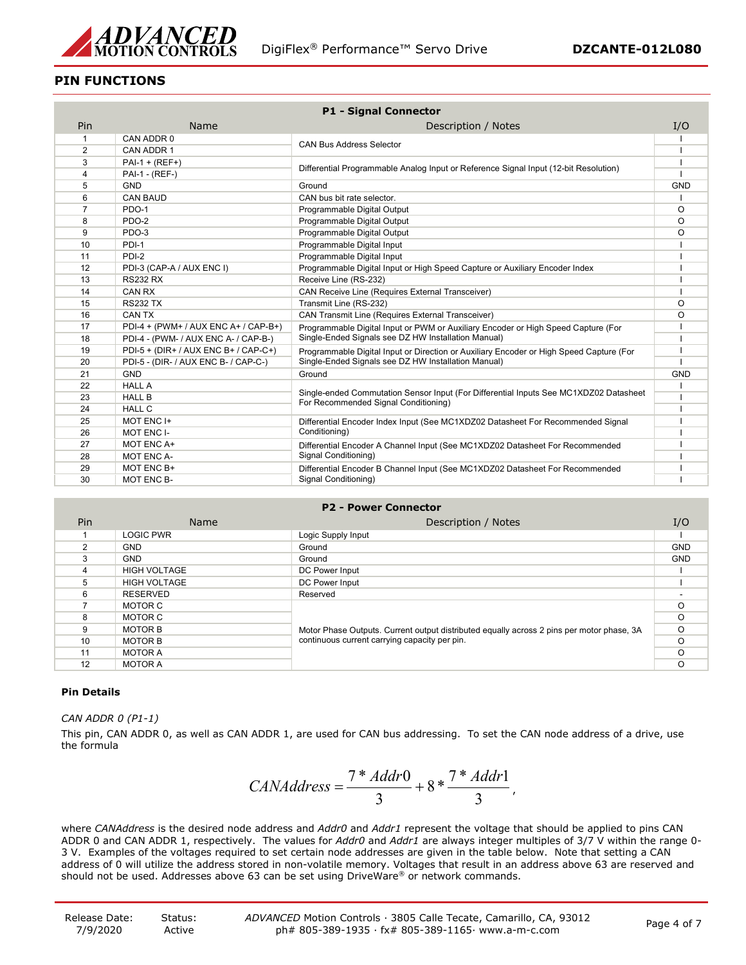

## **PIN FUNCTIONS**

| <b>P1 - Signal Connector</b> |                                      |                                                                                         |            |
|------------------------------|--------------------------------------|-----------------------------------------------------------------------------------------|------------|
| Pin                          | Name                                 | Description / Notes                                                                     | I/O        |
| $\mathbf{1}$                 | CAN ADDR 0                           |                                                                                         |            |
| 2                            | CAN ADDR 1                           | <b>CAN Bus Address Selector</b>                                                         |            |
| 3                            | $PAI - 1 + (REF+)$                   |                                                                                         |            |
| $\overline{4}$               | PAI-1 - (REF-)                       | Differential Programmable Analog Input or Reference Signal Input (12-bit Resolution)    |            |
| 5                            | <b>GND</b>                           | Ground                                                                                  | <b>GND</b> |
| 6                            | <b>CAN BAUD</b>                      | CAN bus bit rate selector.                                                              |            |
| $\overline{7}$               | PDO-1                                | Programmable Digital Output                                                             | O          |
| 8                            | PDO-2                                | Programmable Digital Output                                                             | O          |
| 9                            | PDO-3                                | Programmable Digital Output                                                             | O          |
| 10                           | PDI-1                                | Programmable Digital Input                                                              |            |
| 11                           | PDI-2                                | Programmable Digital Input                                                              |            |
| 12                           | PDI-3 (CAP-A / AUX ENC I)            | Programmable Digital Input or High Speed Capture or Auxiliary Encoder Index             |            |
| 13                           | <b>RS232 RX</b>                      | Receive Line (RS-232)                                                                   |            |
| 14                           | CAN RX                               | <b>CAN Receive Line (Requires External Transceiver)</b>                                 |            |
| 15                           | <b>RS232 TX</b>                      | Transmit Line (RS-232)                                                                  | O          |
| 16                           | CAN TX                               | <b>CAN Transmit Line (Requires External Transceiver)</b>                                | $\Omega$   |
| 17                           | PDI-4 + (PWM+ / AUX ENC A+ / CAP-B+) | Programmable Digital Input or PWM or Auxiliary Encoder or High Speed Capture (For       |            |
| 18                           | PDI-4 - (PWM- / AUX ENC A- / CAP-B-) | Single-Ended Signals see DZ HW Installation Manual)                                     |            |
| 19                           | PDI-5 + (DIR+ / AUX ENC B+ / CAP-C+) | Programmable Digital Input or Direction or Auxiliary Encoder or High Speed Capture (For |            |
| 20                           | PDI-5 - (DIR- / AUX ENC B- / CAP-C-) | Single-Ended Signals see DZ HW Installation Manual)                                     |            |
| 21                           | <b>GND</b>                           | Ground                                                                                  | <b>GND</b> |
| 22                           | <b>HALL A</b>                        | Single-ended Commutation Sensor Input (For Differential Inputs See MC1XDZ02 Datasheet   |            |
| 23                           | <b>HALL B</b>                        | For Recommended Signal Conditioning)                                                    |            |
| 24                           | <b>HALL C</b>                        |                                                                                         |            |
| 25                           | MOT ENC I+                           | Differential Encoder Index Input (See MC1XDZ02 Datasheet For Recommended Signal         |            |
| 26                           | MOT ENC I-                           | Conditioning)                                                                           |            |
| 27                           | MOT ENC A+                           | Differential Encoder A Channel Input (See MC1XDZ02 Datasheet For Recommended            |            |
| 28                           | MOT ENC A-                           | Signal Conditioning)                                                                    |            |
| 29                           | MOT ENC B+                           | Differential Encoder B Channel Input (See MC1XDZ02 Datasheet For Recommended            |            |
| 30                           | MOT ENC B-                           | Signal Conditioning)                                                                    |            |

## **P2 - Power Connector**

| Pin | <b>Name</b>         | Description / Notes                                                                                                                        | I/O        |
|-----|---------------------|--------------------------------------------------------------------------------------------------------------------------------------------|------------|
|     | <b>LOGIC PWR</b>    | Logic Supply Input                                                                                                                         |            |
| 2   | <b>GND</b>          | Ground                                                                                                                                     | <b>GND</b> |
| 3   | <b>GND</b>          | Ground                                                                                                                                     | <b>GND</b> |
| 4   | <b>HIGH VOLTAGE</b> | DC Power Input                                                                                                                             |            |
| 5   | <b>HIGH VOLTAGE</b> | DC Power Input                                                                                                                             |            |
| 6   | <b>RESERVED</b>     | Reserved                                                                                                                                   |            |
|     | MOTOR C             | Motor Phase Outputs. Current output distributed equally across 2 pins per motor phase, 3A<br>continuous current carrying capacity per pin. |            |
| 8   | MOTOR C             |                                                                                                                                            |            |
| 9   | <b>MOTOR B</b>      |                                                                                                                                            |            |
| 10  | <b>MOTOR B</b>      |                                                                                                                                            |            |
| 11  | <b>MOTOR A</b>      |                                                                                                                                            |            |
| 12  | <b>MOTOR A</b>      |                                                                                                                                            |            |

## **Pin Details**

*CAN ADDR 0 (P1-1)*

This pin, CAN ADDR 0, as well as CAN ADDR 1, are used for CAN bus addressing. To set the CAN node address of a drive, use the formula

$$
CAMAddress = \frac{7 * Addr0}{3} + 8 * \frac{7 * Addr1}{3},
$$

where *CANAddress* is the desired node address and *Addr0* and *Addr1* represent the voltage that should be applied to pins CAN ADDR 0 and CAN ADDR 1, respectively. The values for *Addr0* and *Addr1* are always integer multiples of 3/7 V within the range 0- 3 V. Examples of the voltages required to set certain node addresses are given in the table below. Note that setting a CAN address of 0 will utilize the address stored in non-volatile memory. Voltages that result in an address above 63 are reserved and should not be used. Addresses above 63 can be set using DriveWare® or network commands.

| Release Date: | Status: | ADVANCED Motion Controls · 3805 Calle Tecate, Camarillo, CA, 93012 |             |
|---------------|---------|--------------------------------------------------------------------|-------------|
| 7/9/2020      | Active  | ph# 805-389-1935 $\cdot$ fx# 805-389-1165 $\cdot$ www.a-m-c.com    | Page 4 of 7 |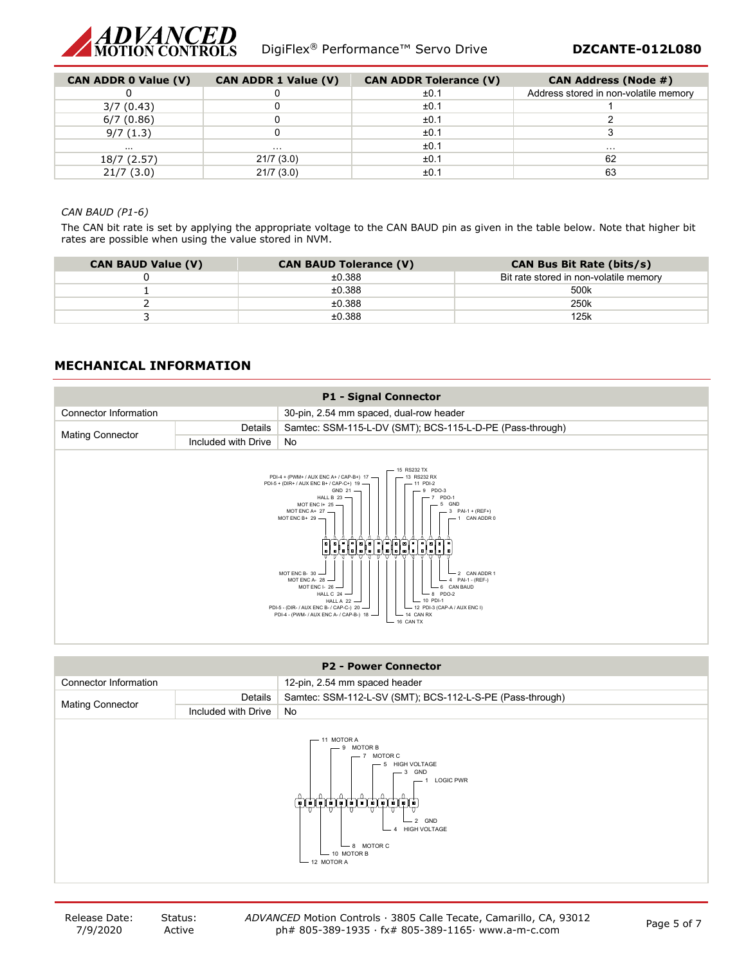

| <b>CAN ADDR 0 Value (V)</b> | <b>CAN ADDR 1 Value (V)</b> | <b>CAN ADDR Tolerance (V)</b> | <b>CAN Address (Node #)</b>           |
|-----------------------------|-----------------------------|-------------------------------|---------------------------------------|
|                             |                             | ±0.1                          | Address stored in non-volatile memory |
| 3/7(0.43)                   |                             | ±0.1                          |                                       |
| 6/7(0.86)                   |                             | ±0.1                          |                                       |
| 9/7(1.3)                    |                             | ±0.1                          |                                       |
| .                           | $\cdots$                    | ±0.1                          | $\cdots$                              |
| 18/7 (2.57)                 | 21/7(3.0)                   | ±0.1                          | 62                                    |
| 21/7(3.0)                   | 21/7(3.0)                   | ±0.1                          | 63                                    |

#### *CAN BAUD (P1-6)*

The CAN bit rate is set by applying the appropriate voltage to the CAN BAUD pin as given in the table below. Note that higher bit rates are possible when using the value stored in NVM.

| <b>CAN BAUD Value (V)</b> | <b>CAN BAUD Tolerance (V)</b> | <b>CAN Bus Bit Rate (bits/s)</b>       |
|---------------------------|-------------------------------|----------------------------------------|
|                           | ±0.388                        | Bit rate stored in non-volatile memory |
|                           | ±0.388                        | 500k                                   |
|                           | ±0.388                        | 250 <sub>k</sub>                       |
|                           | ±0.388                        | 125k                                   |

## **MECHANICAL INFORMATION**



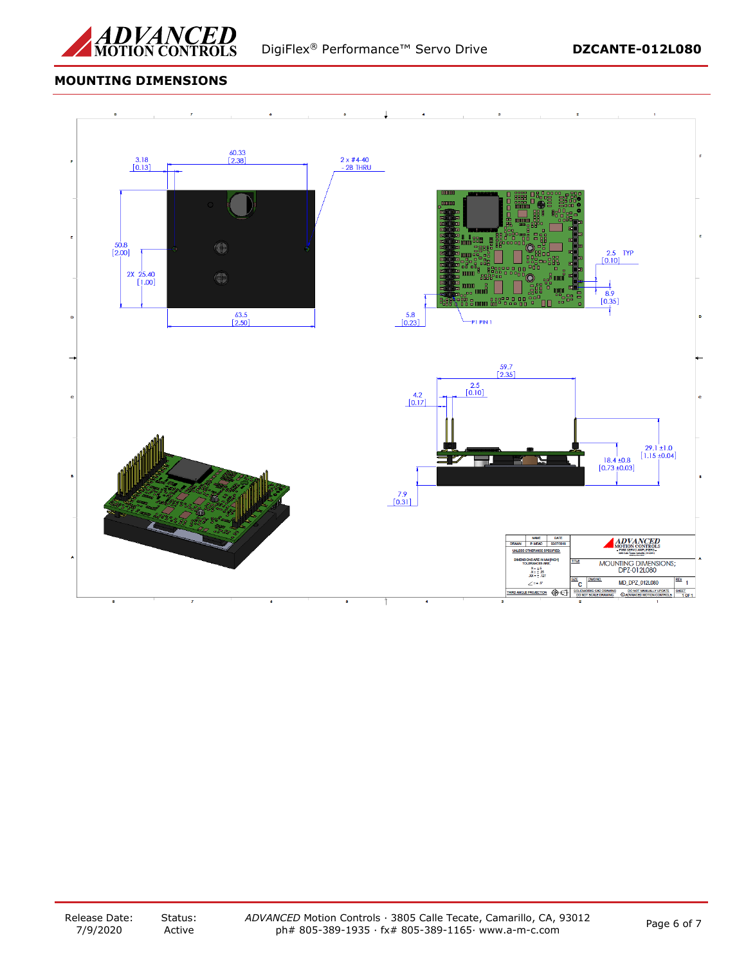

# **MOUNTING DIMENSIONS**